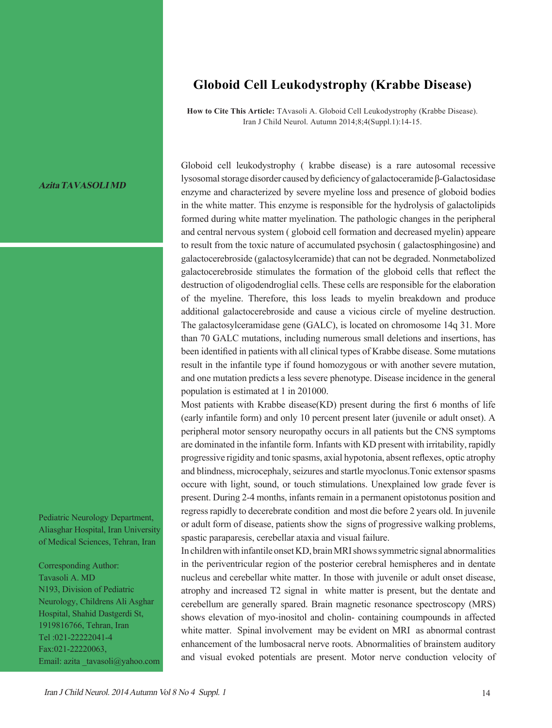## **Globoid Cell Leukodystrophy (Krabbe Disease)**

**How to Cite This Article:** TAvasoli A. Globoid Cell Leukodystrophy (Krabbe Disease). Iran J Child Neurol. Autumn 2014;8;4(Suppl.1):14-15.

## **AzitaTAVASOLIMD**

Pediatric Neurology Department, Aliasghar Hospital, Iran University of Medical Sciences, Tehran, Iran

Corresponding Author: Tavasoli A. MD N193, Division of Pediatric Neurology, Childrens Ali Asghar Hospital, Shahid Dastgerdi St, 1919816766, Tehran, Iran Tel :021-22222041-4 Fax:021-22220063, Email: azita \_tavasoli@yahoo.com Globoid cell leukodystrophy ( krabbe disease) is a rare autosomal recessive lysosomal storage disorder caused by deficiency of galactoceramide β-Galactosidase enzyme and characterized by severe myeline loss and presence of globoid bodies in the white matter. This enzyme is responsible for the hydrolysis of galactolipids formed during white matter myelination. The pathologic changes in the peripheral and central nervous system ( globoid cell formation and decreased myelin) appeare to result from the toxic nature of accumulated psychosin ( galactosphingosine) and galactocerebroside (galactosylceramide) that can not be degraded. Nonmetabolized galactocerebroside stimulates the formation of the globoid cells that reflect the destruction of oligodendroglial cells. These cells are responsible for the elaboration of the myeline. Therefore, this loss leads to myelin breakdown and produce additional galactocerebroside and cause a vicious circle of myeline destruction. The galactosylceramidase gene (GALC), is located on chromosome 14q 31. More than 70 GALC mutations, including numerous small deletions and insertions, has been identified in patients with all clinical types of Krabbe disease. Some mutations result in the infantile type if found homozygous or with another severe mutation, and one mutation predicts a less severe phenotype. Disease incidence in the general population is estimated at 1 in 201000.

Most patients with Krabbe disease(KD) present during the first 6 months of life (early infantile form) and only 10 percent present later (juvenile or adult onset). A peripheral motor sensory neuropathy occurs in all patients but the CNS symptoms are dominated in the infantile form. Infants with KD present with irritability, rapidly progressive rigidity and tonic spasms, axial hypotonia, absent reflexes, optic atrophy and blindness, microcephaly, seizures and startle myoclonus.Tonic extensor spasms occure with light, sound, or touch stimulations. Unexplained low grade fever is present. During 2-4 months, infants remain in a permanent opistotonus position and regress rapidly to decerebrate condition and most die before 2 years old. In juvenile or adult form of disease, patients show the signs of progressive walking problems, spastic paraparesis, cerebellar ataxia and visual failure.

In children with infantile onset KD, brain MRI shows symmetric signal abnormalities in the periventricular region of the posterior cerebral hemispheres and in dentate nucleus and cerebellar white matter. In those with juvenile or adult onset disease, atrophy and increased T2 signal in white matter is present, but the dentate and cerebellum are generally spared. Brain magnetic resonance spectroscopy (MRS) shows elevation of myo-inositol and cholin- containing coumpounds in affected white matter. Spinal involvement may be evident on MRI as abnormal contrast enhancement of the lumbosacral nerve roots. Abnormalities of brainstem auditory and visual evoked potentials are present. Motor nerve conduction velocity of